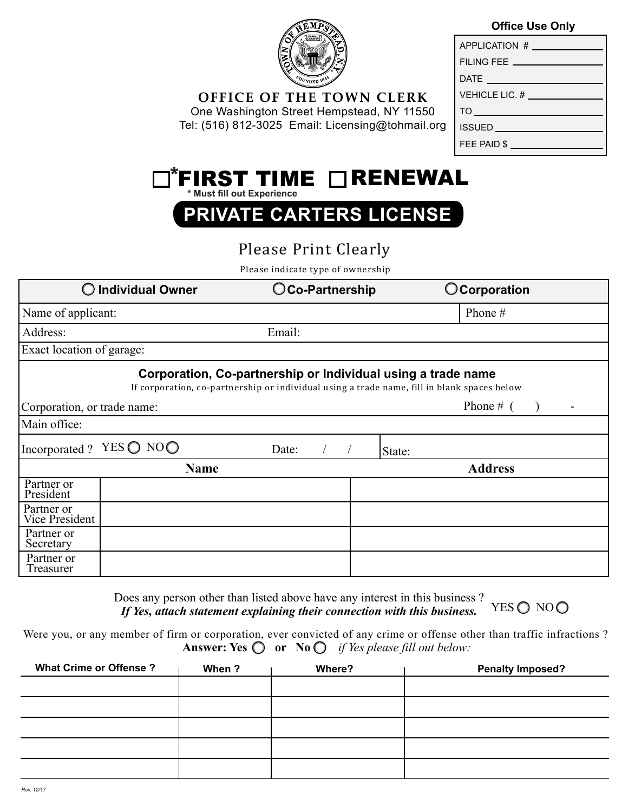

**OFFICE OF THE TOWN CLERK** One Washington Street Hempstead, NY 11550 Tel: (516) 812-3025 Email: Licensing@tohmail.org

## **Office Use Only**

| APPLICATION #                    |
|----------------------------------|
| FILING FEE ______                |
| DATE                             |
| VEHICLE LIC. #                   |
| $TO \qquad \qquad \qquad \qquad$ |
| ISSUED ____                      |
| FEE PAID \$                      |

| $\Box$ FIRST TIME $\Box$ RENEWAL |  |
|----------------------------------|--|
| * Must fill out Experience       |  |

**PRIVATE CARTERS LICENSE**

## Please Print Clearly

Please indicate type of ownership

| <b>Individual Owner</b>                                                                                                                                     |             | OCo-Partnership | <b>O</b> Corporation |  |  |  |  |
|-------------------------------------------------------------------------------------------------------------------------------------------------------------|-------------|-----------------|----------------------|--|--|--|--|
| Name of applicant:                                                                                                                                          |             |                 | Phone $#$            |  |  |  |  |
| Address:                                                                                                                                                    |             | Email:          |                      |  |  |  |  |
| Exact location of garage:                                                                                                                                   |             |                 |                      |  |  |  |  |
| Corporation, Co-partnership or Individual using a trade name<br>If corporation, co-partnership or individual using a trade name, fill in blank spaces below |             |                 |                      |  |  |  |  |
| Corporation, or trade name:                                                                                                                                 |             |                 | Phone $#$ (          |  |  |  |  |
| Main office:                                                                                                                                                |             |                 |                      |  |  |  |  |
| Incorporated?                                                                                                                                               | YES ◯ NO◯   | Date:           | State:               |  |  |  |  |
|                                                                                                                                                             | <b>Name</b> |                 | <b>Address</b>       |  |  |  |  |
| Partner or<br>President                                                                                                                                     |             |                 |                      |  |  |  |  |
| Partner or<br>Vice President                                                                                                                                |             |                 |                      |  |  |  |  |
| Partner or<br>Secretary                                                                                                                                     |             |                 |                      |  |  |  |  |
| Partner or<br>Treasurer                                                                                                                                     |             |                 |                      |  |  |  |  |

Does any person other than listed above have any interest in this business ? *If Yes, attach statement explaining their connection with this business.* YES O NOO

Answer: Yes  $\bigcirc$  or No  $\bigcirc$  *if Yes please fill out below:* Were you, or any member of firm or corporation, ever convicted of any crime or offense other than traffic infractions ?

| <b>What Crime or Offense?</b> | When? | Where? | <b>Penalty Imposed?</b> |  |  |
|-------------------------------|-------|--------|-------------------------|--|--|
|                               |       |        |                         |  |  |
|                               |       |        |                         |  |  |
|                               |       |        |                         |  |  |
|                               |       |        |                         |  |  |
|                               |       |        |                         |  |  |
|                               |       |        |                         |  |  |